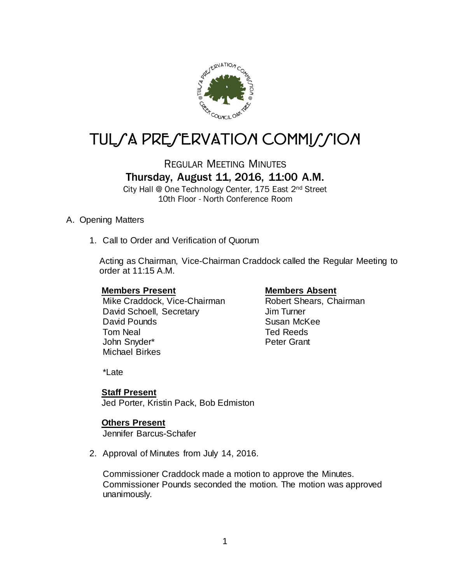

# TULSA PRESERVATION COMMISSION

## REGULAR MEETING MINUTES Thursday, August 11, 2016, 11:00 A.M.

City Hall @ One Technology Center, 175 East 2nd Street 10th Floor - North Conference Room

#### A. Opening Matters

1. Call to Order and Verification of Quorum

Acting as Chairman, Vice-Chairman Craddock called the Regular Meeting to order at 11:15 A.M.

#### **Members Present Members Absent**

Mike Craddock, Vice-Chairman Robert Shears, Chairman David Schoell, Secretary **Jim Turner** David Pounds **Susan McKee** Tom Neal **The Community Community** Ted Reeds John Snyder\* **Peter Grant** Michael Birkes

\*Late

### **Staff Present**

Jed Porter, Kristin Pack, Bob Edmiston

### **Others Present**

Jennifer Barcus-Schafer

2. Approval of Minutes from July 14, 2016.

Commissioner Craddock made a motion to approve the Minutes. Commissioner Pounds seconded the motion. The motion was approved unanimously.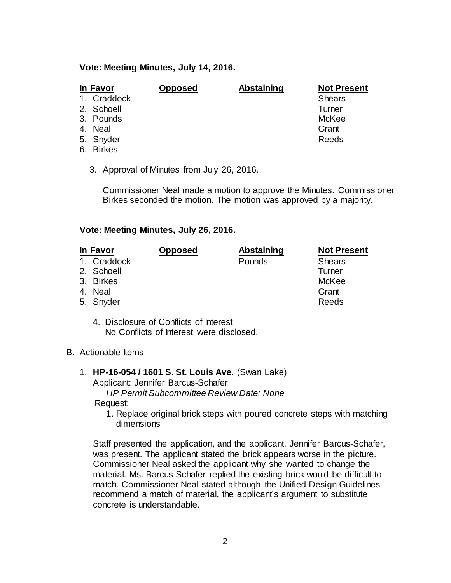#### **Vote: Meeting Minutes, July 14, 2016.**

| In Favor |             | <b>Opposed</b> | <b>Abstaining</b> | <b>Not Present</b> |
|----------|-------------|----------------|-------------------|--------------------|
|          | 1. Craddock |                |                   | <b>Shears</b>      |
|          | 2. Schoell  |                |                   | Turner             |
|          | 3. Pounds   |                |                   | McKee              |
|          | 4. Neal     |                |                   | Grant              |
|          | 5. Snyder   |                |                   | Reeds              |
|          | 6. Birkes   |                |                   |                    |

3. Approval of Minutes from July 26, 2016.

Commissioner Neal made a motion to approve the Minutes. Commissioner Birkes seconded the motion. The motion was approved by a majority.

#### **Vote: Meeting Minutes, July 26, 2016.**

| In Favor    | <b>Opposed</b> | Abstaining | <b>Not Present</b> |
|-------------|----------------|------------|--------------------|
| 1. Craddock |                | Pounds     | <b>Shears</b>      |
| 2. Schoell  |                |            | Turner             |
| 3. Birkes   |                |            | McKee              |
| 4. Neal     |                |            | Grant              |
| 5. Snyder   |                |            | Reeds              |
|             |                |            |                    |

- 4. Disclosure of Conflicts of Interest No Conflicts of Interest were disclosed.
- B. Actionable Items
	- 1. **HP-16-054 / 1601 S. St. Louis Ave.** (Swan Lake) Applicant: Jennifer Barcus-Schafer

*HP Permit Subcommittee Review Date: None*

Request:

1. Replace original brick steps with poured concrete steps with matching dimensions

Staff presented the application, and the applicant, Jennifer Barcus-Schafer, was present. The applicant stated the brick appears worse in the picture. Commissioner Neal asked the applicant why she wanted to change the material. Ms. Barcus-Schafer replied the existing brick would be difficult to match. Commissioner Neal stated although the Unified Design Guidelines recommend a match of material, the applicant's argument to substitute concrete is understandable.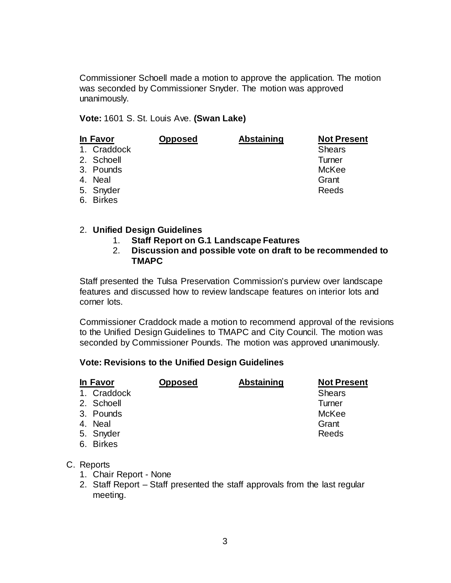Commissioner Schoell made a motion to approve the application. The motion was seconded by Commissioner Snyder. The motion was approved unanimously.

**Vote:** 1601 S. St. Louis Ave. **(Swan Lake)**

| In Favor |             | <b>Opposed</b> | <b>Abstaining</b> | <b>Not Present</b> |
|----------|-------------|----------------|-------------------|--------------------|
|          | 1. Craddock |                |                   | <b>Shears</b>      |
|          | 2. Schoell  |                |                   | Turner             |
|          | 3. Pounds   |                |                   | McKee              |
|          | 4. Neal     |                |                   | Grant              |
|          | 5. Snyder   |                |                   | Reeds              |
|          | 6. Birkes   |                |                   |                    |

#### 2. **Unified Design Guidelines**

#### 1. **Staff Report on G.1 Landscape Features**

2. **Discussion and possible vote on draft to be recommended to TMAPC**

Staff presented the Tulsa Preservation Commission's purview over landscape features and discussed how to review landscape features on interior lots and corner lots.

Commissioner Craddock made a motion to recommend approval of the revisions to the Unified Design Guidelines to TMAPC and City Council. The motion was seconded by Commissioner Pounds. The motion was approved unanimously.

#### **Vote: Revisions to the Unified Design Guidelines**

| In Favor |             | <b>Opposed</b> | <b>Abstaining</b> | <b>Not Present</b> |
|----------|-------------|----------------|-------------------|--------------------|
|          | 1. Craddock |                |                   | <b>Shears</b>      |
|          | 2. Schoell  |                |                   | Turner             |
|          | 3. Pounds   |                |                   | McKee              |
|          | 4. Neal     |                |                   | Grant              |
|          | 5. Snyder   |                |                   | Reeds              |
|          | 6. Birkes   |                |                   |                    |

#### C. Reports

- 1. Chair Report None
- 2. Staff Report Staff presented the staff approvals from the last regular meeting.